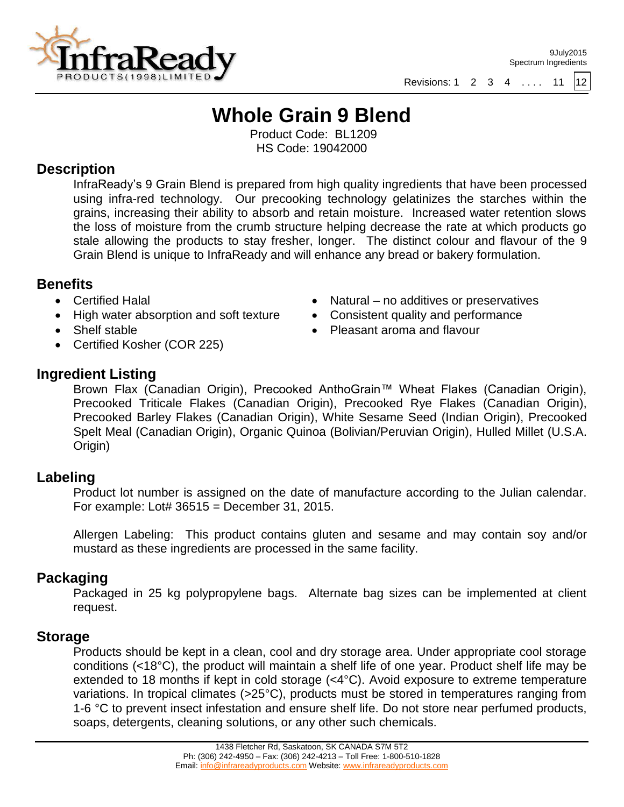

## **Whole Grain 9 Blend**

Product Code: BL1209 HS Code: 19042000

### **Description**

InfraReady's 9 Grain Blend is prepared from high quality ingredients that have been processed using infra-red technology. Our precooking technology gelatinizes the starches within the grains, increasing their ability to absorb and retain moisture. Increased water retention slows the loss of moisture from the crumb structure helping decrease the rate at which products go stale allowing the products to stay fresher, longer. The distinct colour and flavour of the 9 Grain Blend is unique to InfraReady and will enhance any bread or bakery formulation.

### **Benefits**

- Certified Halal
- High water absorption and soft texture
- Shelf stable
- Certified Kosher (COR 225)
- Natural no additives or preservatives Consistent quality and performance
- Pleasant aroma and flavour

## **Ingredient Listing**

Brown Flax (Canadian Origin), Precooked AnthoGrain™ Wheat Flakes (Canadian Origin), Precooked Triticale Flakes (Canadian Origin), Precooked Rye Flakes (Canadian Origin), Precooked Barley Flakes (Canadian Origin), White Sesame Seed (Indian Origin), Precooked Spelt Meal (Canadian Origin), Organic Quinoa (Bolivian/Peruvian Origin), Hulled Millet (U.S.A. Origin)

## **Labeling**

Product lot number is assigned on the date of manufacture according to the Julian calendar. For example: Lot#  $36515 =$  December 31, 2015.

Allergen Labeling: This product contains gluten and sesame and may contain soy and/or mustard as these ingredients are processed in the same facility.

## **Packaging**

Packaged in 25 kg polypropylene bags. Alternate bag sizes can be implemented at client request.

### **Storage**

Products should be kept in a clean, cool and dry storage area. Under appropriate cool storage conditions (<18°C), the product will maintain a shelf life of one year. Product shelf life may be extended to 18 months if kept in cold storage (<4°C). Avoid exposure to extreme temperature variations. In tropical climates (>25°C), products must be stored in temperatures ranging from 1-6 °C to prevent insect infestation and ensure shelf life. Do not store near perfumed products, soaps, detergents, cleaning solutions, or any other such chemicals.